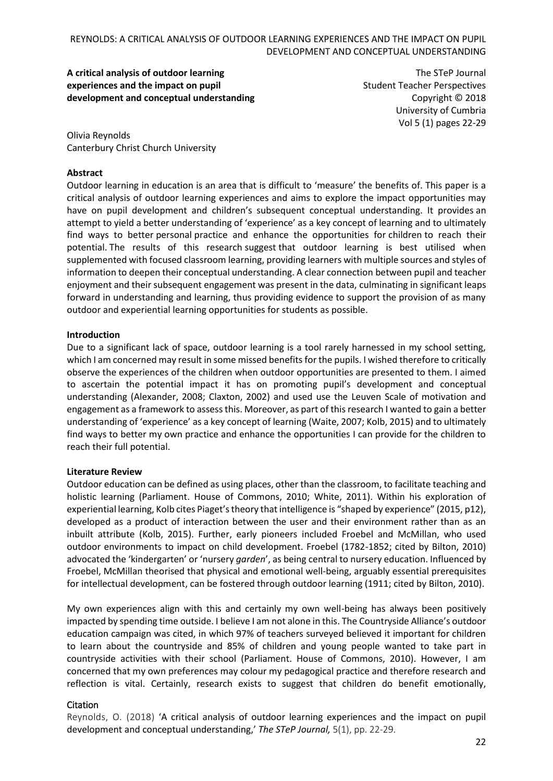**A critical analysis of outdoor learning experiences and the impact on pupil development and conceptual understanding**

The STeP Journal Student Teacher Perspectives Copyright © 2018 University of Cumbria Vol 5 (1) pages 22-29

Olivia Reynolds Canterbury Christ Church University

### **Abstract**

Outdoor learning in education is an area that is difficult to 'measure' the benefits of. This paper is a critical analysis of outdoor learning experiences and aims to explore the impact opportunities may have on pupil development and children's subsequent conceptual understanding. It provides an attempt to yield a better understanding of 'experience' as a key concept of learning and to ultimately find ways to better personal practice and enhance the opportunities for children to reach their potential. The results of this research suggest that outdoor learning is best utilised when supplemented with focused classroom learning, providing learners with multiple sources and styles of information to deepen their conceptual understanding. A clear connection between pupil and teacher enjoyment and their subsequent engagement was present in the data, culminating in significant leaps forward in understanding and learning, thus providing evidence to support the provision of as many outdoor and experiential learning opportunities for students as possible.

#### **Introduction**

Due to a significant lack of space, outdoor learning is a tool rarely harnessed in my school setting, which I am concerned may result in some missed benefits for the pupils. I wished therefore to critically observe the experiences of the children when outdoor opportunities are presented to them. I aimed to ascertain the potential impact it has on promoting pupil's development and conceptual understanding (Alexander, 2008; Claxton, 2002) and used use the Leuven Scale of motivation and engagement as a framework to assess this. Moreover, as part of this research I wanted to gain a better understanding of 'experience' as a key concept of learning (Waite, 2007; Kolb, 2015) and to ultimately find ways to better my own practice and enhance the opportunities I can provide for the children to reach their full potential.

#### **Literature Review**

Outdoor education can be defined as using places, other than the classroom, to facilitate teaching and holistic learning (Parliament. House of Commons, 2010; White, 2011). Within his exploration of experiential learning, Kolb cites Piaget's theory that intelligence is "shaped by experience" (2015, p12), developed as a product of interaction between the user and their environment rather than as an inbuilt attribute (Kolb, 2015). Further, early pioneers included Froebel and McMillan, who used outdoor environments to impact on child development. Froebel (1782-1852; cited by Bilton, 2010) advocated the 'kindergarten' or 'nursery *garden*', as being central to nursery education. Influenced by Froebel, McMillan theorised that physical and emotional well-being, arguably essential prerequisites for intellectual development, can be fostered through outdoor learning (1911; cited by Bilton, 2010).

My own experiences align with this and certainly my own well-being has always been positively impacted by spending time outside. I believe I am not alone in this. The Countryside Alliance's outdoor education campaign was cited, in which 97% of teachers surveyed believed it important for children to learn about the countryside and 85% of children and young people wanted to take part in countryside activities with their school (Parliament. House of Commons, 2010). However, I am concerned that my own preferences may colour my pedagogical practice and therefore research and reflection is vital. Certainly, research exists to suggest that children do benefit emotionally,

## Citation

Reynolds, O. (2018) 'A critical analysis of outdoor learning experiences and the impact on pupil development and conceptual understanding,' *The STeP Journal,* 5(1), pp. 22-29.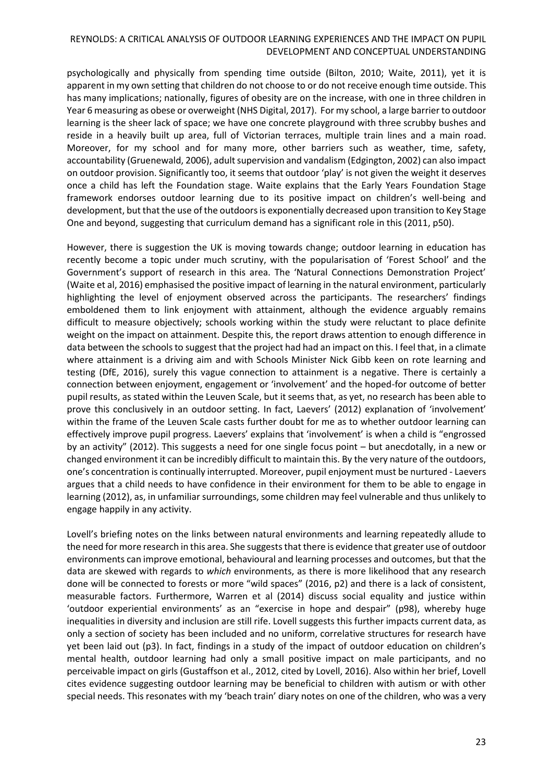psychologically and physically from spending time outside (Bilton, 2010; Waite, 2011), yet it is apparent in my own setting that children do not choose to or do not receive enough time outside. This has many implications; nationally, figures of obesity are on the increase, with one in three children in Year 6 measuring as obese or overweight (NHS Digital, 2017). For my school, a large barrier to outdoor learning is the sheer lack of space; we have one concrete playground with three scrubby bushes and reside in a heavily built up area, full of Victorian terraces, multiple train lines and a main road. Moreover, for my school and for many more, other barriers such as weather, time, safety, accountability (Gruenewald, 2006), adult supervision and vandalism (Edgington, 2002) can also impact on outdoor provision. Significantly too, it seems that outdoor 'play' is not given the weight it deserves once a child has left the Foundation stage. Waite explains that the Early Years Foundation Stage framework endorses outdoor learning due to its positive impact on children's well-being and development, but that the use of the outdoors is exponentially decreased upon transition to Key Stage One and beyond, suggesting that curriculum demand has a significant role in this (2011, p50).

However, there is suggestion the UK is moving towards change; outdoor learning in education has recently become a topic under much scrutiny, with the popularisation of 'Forest School' and the Government's support of research in this area. The 'Natural Connections Demonstration Project' (Waite et al, 2016) emphasised the positive impact of learning in the natural environment, particularly highlighting the level of enjoyment observed across the participants. The researchers' findings emboldened them to link enjoyment with attainment, although the evidence arguably remains difficult to measure objectively; schools working within the study were reluctant to place definite weight on the impact on attainment. Despite this, the report draws attention to enough difference in data between the schools to suggest that the project had had an impact on this. I feel that, in a climate where attainment is a driving aim and with Schools Minister Nick Gibb keen on rote learning and testing (DfE, 2016), surely this vague connection to attainment is a negative. There is certainly a connection between enjoyment, engagement or 'involvement' and the hoped-for outcome of better pupil results, as stated within the Leuven Scale, but it seems that, as yet, no research has been able to prove this conclusively in an outdoor setting. In fact, Laevers' (2012) explanation of 'involvement' within the frame of the Leuven Scale casts further doubt for me as to whether outdoor learning can effectively improve pupil progress. Laevers' explains that 'involvement' is when a child is "engrossed by an activity" (2012). This suggests a need for one single focus point – but anecdotally, in a new or changed environment it can be incredibly difficult to maintain this. By the very nature of the outdoors, one's concentration is continually interrupted. Moreover, pupil enjoyment must be nurtured - Laevers argues that a child needs to have confidence in their environment for them to be able to engage in learning (2012), as, in unfamiliar surroundings, some children may feel vulnerable and thus unlikely to engage happily in any activity.

Lovell's briefing notes on the links between natural environments and learning repeatedly allude to the need for more research in this area. She suggests that there is evidence that greater use of outdoor environments can improve emotional, behavioural and learning processes and outcomes, but that the data are skewed with regards to *which* environments, as there is more likelihood that any research done will be connected to forests or more "wild spaces" (2016, p2) and there is a lack of consistent, measurable factors. Furthermore, Warren et al (2014) discuss social equality and justice within 'outdoor experiential environments' as an "exercise in hope and despair" (p98), whereby huge inequalities in diversity and inclusion are still rife. Lovell suggests this further impacts current data, as only a section of society has been included and no uniform, correlative structures for research have yet been laid out (p3). In fact, findings in a study of the impact of outdoor education on children's mental health, outdoor learning had only a small positive impact on male participants, and no perceivable impact on girls (Gustaffson et al., 2012, cited by Lovell, 2016). Also within her brief, Lovell cites evidence suggesting outdoor learning may be beneficial to children with autism or with other special needs. This resonates with my 'beach train' diary notes on one of the children, who was a very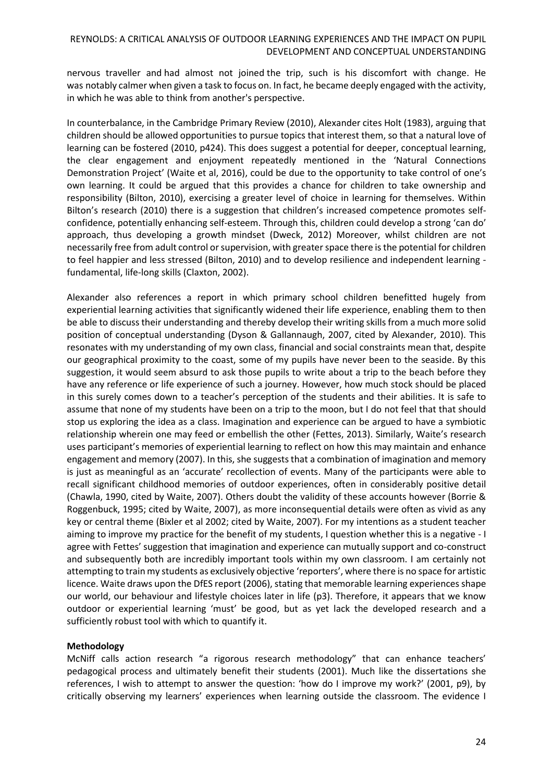nervous traveller and had almost not joined the trip, such is his discomfort with change. He was notably calmer when given a task to focus on. In fact, he became deeply engaged with the activity, in which he was able to think from another's perspective.

In counterbalance, in the Cambridge Primary Review (2010), Alexander cites Holt (1983), arguing that children should be allowed opportunities to pursue topics that interest them, so that a natural love of learning can be fostered (2010, p424). This does suggest a potential for deeper, conceptual learning, the clear engagement and enjoyment repeatedly mentioned in the 'Natural Connections Demonstration Project' (Waite et al, 2016), could be due to the opportunity to take control of one's own learning. It could be argued that this provides a chance for children to take ownership and responsibility (Bilton, 2010), exercising a greater level of choice in learning for themselves. Within Bilton's research (2010) there is a suggestion that children's increased competence promotes selfconfidence, potentially enhancing self-esteem. Through this, children could develop a strong 'can do' approach, thus developing a growth mindset (Dweck, 2012) Moreover, whilst children are not necessarily free from adult control or supervision, with greater space there is the potential for children to feel happier and less stressed (Bilton, 2010) and to develop resilience and independent learning fundamental, life-long skills (Claxton, 2002).

Alexander also references a report in which primary school children benefitted hugely from experiential learning activities that significantly widened their life experience, enabling them to then be able to discuss their understanding and thereby develop their writing skills from a much more solid position of conceptual understanding (Dyson & Gallannaugh, 2007, cited by Alexander, 2010). This resonates with my understanding of my own class, financial and social constraints mean that, despite our geographical proximity to the coast, some of my pupils have never been to the seaside. By this suggestion, it would seem absurd to ask those pupils to write about a trip to the beach before they have any reference or life experience of such a journey. However, how much stock should be placed in this surely comes down to a teacher's perception of the students and their abilities. It is safe to assume that none of my students have been on a trip to the moon, but I do not feel that that should stop us exploring the idea as a class. Imagination and experience can be argued to have a symbiotic relationship wherein one may feed or embellish the other (Fettes, 2013). Similarly, Waite's research uses participant's memories of experiential learning to reflect on how this may maintain and enhance engagement and memory (2007). In this, she suggests that a combination of imagination and memory is just as meaningful as an 'accurate' recollection of events. Many of the participants were able to recall significant childhood memories of outdoor experiences, often in considerably positive detail (Chawla, 1990, cited by Waite, 2007). Others doubt the validity of these accounts however (Borrie & Roggenbuck, 1995; cited by Waite, 2007), as more inconsequential details were often as vivid as any key or central theme (Bixler et al 2002; cited by Waite, 2007). For my intentions as a student teacher aiming to improve my practice for the benefit of my students, I question whether this is a negative - I agree with Fettes' suggestion that imagination and experience can mutually support and co-construct and subsequently both are incredibly important tools within my own classroom. I am certainly not attempting to train my students as exclusively objective 'reporters', where there is no space for artistic licence. Waite draws upon the DfES report (2006), stating that memorable learning experiences shape our world, our behaviour and lifestyle choices later in life (p3). Therefore, it appears that we know outdoor or experiential learning 'must' be good, but as yet lack the developed research and a sufficiently robust tool with which to quantify it.

## **Methodology**

McNiff calls action research "a rigorous research methodology" that can enhance teachers' pedagogical process and ultimately benefit their students (2001). Much like the dissertations she references, I wish to attempt to answer the question: 'how do I improve my work?' (2001, p9), by critically observing my learners' experiences when learning outside the classroom. The evidence I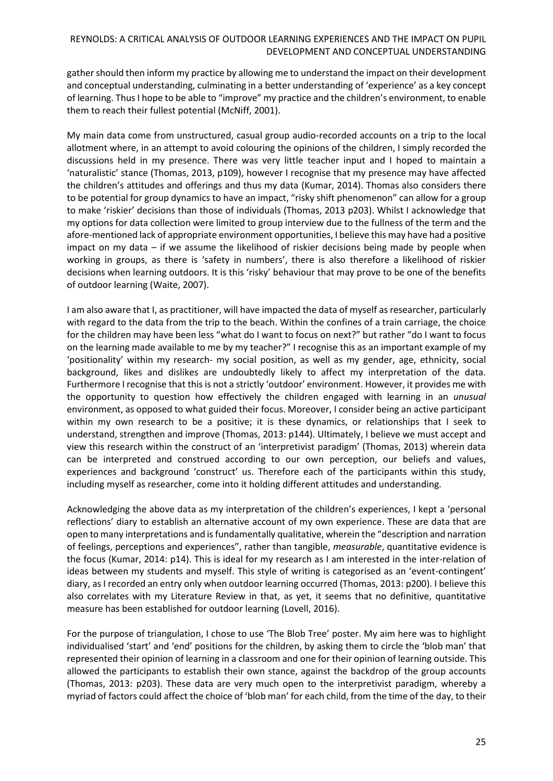gather should then inform my practice by allowing me to understand the impact on their development and conceptual understanding, culminating in a better understanding of 'experience' as a key concept of learning. Thus I hope to be able to "improve" my practice and the children's environment, to enable them to reach their fullest potential (McNiff, 2001).

My main data come from unstructured, casual group audio-recorded accounts on a trip to the local allotment where, in an attempt to avoid colouring the opinions of the children, I simply recorded the discussions held in my presence. There was very little teacher input and I hoped to maintain a 'naturalistic' stance (Thomas, 2013, p109), however I recognise that my presence may have affected the children's attitudes and offerings and thus my data (Kumar, 2014). Thomas also considers there to be potential for group dynamics to have an impact, "risky shift phenomenon" can allow for a group to make 'riskier' decisions than those of individuals (Thomas, 2013 p203). Whilst I acknowledge that my options for data collection were limited to group interview due to the fullness of the term and the afore-mentioned lack of appropriate environment opportunities, I believe this may have had a positive impact on my data – if we assume the likelihood of riskier decisions being made by people when working in groups, as there is 'safety in numbers', there is also therefore a likelihood of riskier decisions when learning outdoors. It is this 'risky' behaviour that may prove to be one of the benefits of outdoor learning (Waite, 2007).

I am also aware that I, as practitioner, will have impacted the data of myself as researcher, particularly with regard to the data from the trip to the beach. Within the confines of a train carriage, the choice for the children may have been less "what do I want to focus on next?" but rather "do I want to focus on the learning made available to me by my teacher?" I recognise this as an important example of my 'positionality' within my research- my social position, as well as my gender, age, ethnicity, social background, likes and dislikes are undoubtedly likely to affect my interpretation of the data. Furthermore I recognise that this is not a strictly 'outdoor' environment. However, it provides me with the opportunity to question how effectively the children engaged with learning in an *unusual* environment, as opposed to what guided their focus. Moreover, I consider being an active participant within my own research to be a positive; it is these dynamics, or relationships that I seek to understand, strengthen and improve (Thomas, 2013: p144). Ultimately, I believe we must accept and view this research within the construct of an 'interpretivist paradigm' (Thomas, 2013) wherein data can be interpreted and construed according to our own perception, our beliefs and values, experiences and background 'construct' us. Therefore each of the participants within this study, including myself as researcher, come into it holding different attitudes and understanding.

Acknowledging the above data as my interpretation of the children's experiences, I kept a 'personal reflections' diary to establish an alternative account of my own experience. These are data that are open to many interpretations and is fundamentally qualitative, wherein the "description and narration of feelings, perceptions and experiences", rather than tangible, *measurable*, quantitative evidence is the focus (Kumar, 2014: p14). This is ideal for my research as I am interested in the inter-relation of ideas between my students and myself. This style of writing is categorised as an 'event-contingent' diary, as I recorded an entry only when outdoor learning occurred (Thomas, 2013: p200). I believe this also correlates with my Literature Review in that, as yet, it seems that no definitive, quantitative measure has been established for outdoor learning (Lovell, 2016).

For the purpose of triangulation, I chose to use 'The Blob Tree' poster. My aim here was to highlight individualised 'start' and 'end' positions for the children, by asking them to circle the 'blob man' that represented their opinion of learning in a classroom and one for their opinion of learning outside. This allowed the participants to establish their own stance, against the backdrop of the group accounts (Thomas, 2013: p203). These data are very much open to the interpretivist paradigm, whereby a myriad of factors could affect the choice of 'blob man' for each child, from the time of the day, to their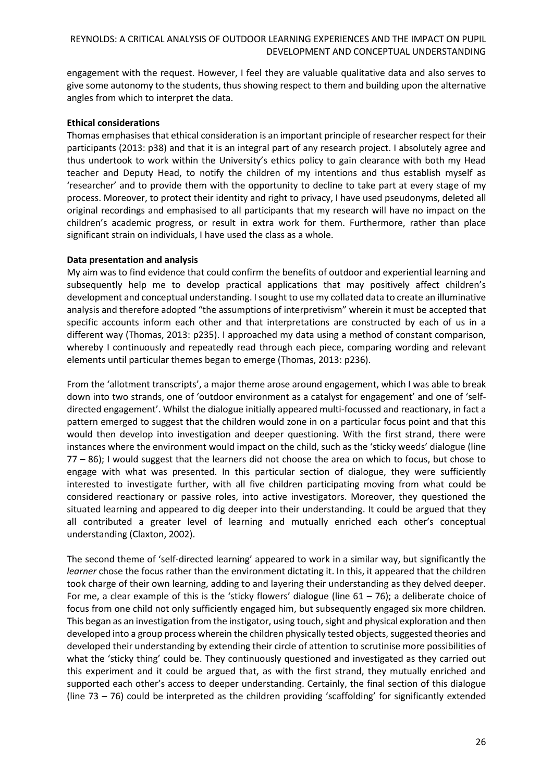engagement with the request. However, I feel they are valuable qualitative data and also serves to give some autonomy to the students, thus showing respect to them and building upon the alternative angles from which to interpret the data.

# **Ethical considerations**

Thomas emphasises that ethical consideration is an important principle of researcher respect for their participants (2013: p38) and that it is an integral part of any research project. I absolutely agree and thus undertook to work within the University's ethics policy to gain clearance with both my Head teacher and Deputy Head, to notify the children of my intentions and thus establish myself as 'researcher' and to provide them with the opportunity to decline to take part at every stage of my process. Moreover, to protect their identity and right to privacy, I have used pseudonyms, deleted all original recordings and emphasised to all participants that my research will have no impact on the children's academic progress, or result in extra work for them. Furthermore, rather than place significant strain on individuals, I have used the class as a whole.

## **Data presentation and analysis**

My aim was to find evidence that could confirm the benefits of outdoor and experiential learning and subsequently help me to develop practical applications that may positively affect children's development and conceptual understanding. I sought to use my collated data to create an illuminative analysis and therefore adopted "the assumptions of interpretivism" wherein it must be accepted that specific accounts inform each other and that interpretations are constructed by each of us in a different way (Thomas, 2013: p235). I approached my data using a method of constant comparison, whereby I continuously and repeatedly read through each piece, comparing wording and relevant elements until particular themes began to emerge (Thomas, 2013: p236).

From the 'allotment transcripts', a major theme arose around engagement, which I was able to break down into two strands, one of 'outdoor environment as a catalyst for engagement' and one of 'selfdirected engagement'. Whilst the dialogue initially appeared multi-focussed and reactionary, in fact a pattern emerged to suggest that the children would zone in on a particular focus point and that this would then develop into investigation and deeper questioning. With the first strand, there were instances where the environment would impact on the child, such as the 'sticky weeds' dialogue (line 77 – 86); I would suggest that the learners did not choose the area on which to focus, but chose to engage with what was presented. In this particular section of dialogue, they were sufficiently interested to investigate further, with all five children participating moving from what could be considered reactionary or passive roles, into active investigators. Moreover, they questioned the situated learning and appeared to dig deeper into their understanding. It could be argued that they all contributed a greater level of learning and mutually enriched each other's conceptual understanding (Claxton, 2002).

The second theme of 'self-directed learning' appeared to work in a similar way, but significantly the *learner* chose the focus rather than the environment dictating it. In this, it appeared that the children took charge of their own learning, adding to and layering their understanding as they delved deeper. For me, a clear example of this is the 'sticky flowers' dialogue (line  $61 - 76$ ); a deliberate choice of focus from one child not only sufficiently engaged him, but subsequently engaged six more children. This began as an investigation from the instigator, using touch, sight and physical exploration and then developed into a group process wherein the children physically tested objects, suggested theories and developed their understanding by extending their circle of attention to scrutinise more possibilities of what the 'sticky thing' could be. They continuously questioned and investigated as they carried out this experiment and it could be argued that, as with the first strand, they mutually enriched and supported each other's access to deeper understanding. Certainly, the final section of this dialogue (line 73 – 76) could be interpreted as the children providing 'scaffolding' for significantly extended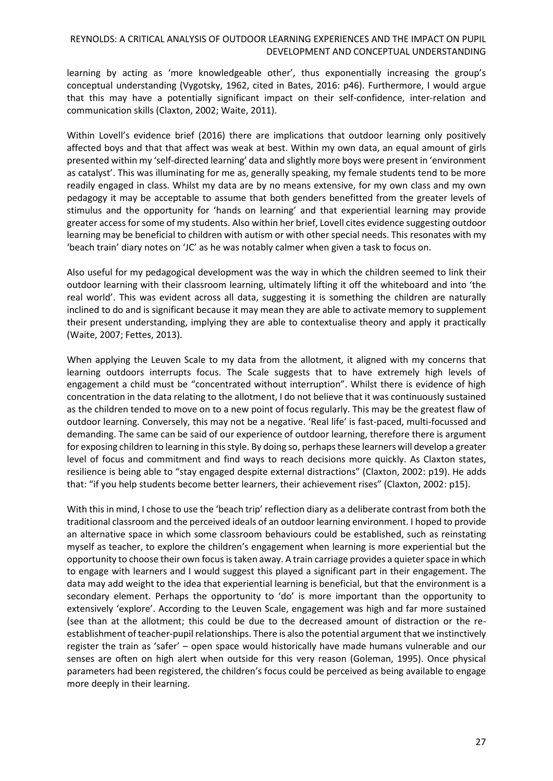learning by acting as 'more knowledgeable other', thus exponentially increasing the group's conceptual understanding (Vygotsky, 1962, cited in Bates, 2016: p46). Furthermore, I would argue that this may have a potentially significant impact on their self-confidence, inter-relation and communication skills (Claxton, 2002; Waite, 2011).

Within Lovell's evidence brief (2016) there are implications that outdoor learning only positively affected boys and that that affect was weak at best. Within my own data, an equal amount of girls presented within my 'self-directed learning' data and slightly more boys were present in 'environment as catalyst'. This was illuminating for me as, generally speaking, my female students tend to be more readily engaged in class. Whilst my data are by no means extensive, for my own class and my own pedagogy it may be acceptable to assume that both genders benefitted from the greater levels of stimulus and the opportunity for 'hands on learning' and that experiential learning may provide greater access for some of my students. Also within her brief, Lovell cites evidence suggesting outdoor learning may be beneficial to children with autism or with other special needs. This resonates with my 'beach train' diary notes on 'JC' as he was notably calmer when given a task to focus on.

Also useful for my pedagogical development was the way in which the children seemed to link their outdoor learning with their classroom learning, ultimately lifting it off the whiteboard and into 'the real world'. This was evident across all data, suggesting it is something the children are naturally inclined to do and is significant because it may mean they are able to activate memory to supplement their present understanding, implying they are able to contextualise theory and apply it practically (Waite, 2007; Fettes, 2013).

When applying the Leuven Scale to my data from the allotment, it aligned with my concerns that learning outdoors interrupts focus. The Scale suggests that to have extremely high levels of engagement a child must be "concentrated without interruption". Whilst there is evidence of high concentration in the data relating to the allotment, I do not believe that it was continuously sustained as the children tended to move on to a new point of focus regularly. This may be the greatest flaw of outdoor learning. Conversely, this may not be a negative. 'Real life' is fast-paced, multi-focussed and demanding. The same can be said of our experience of outdoor learning, therefore there is argument for exposing children to learning in this style. By doing so, perhaps these learners will develop a greater level of focus and commitment and find ways to reach decisions more quickly. As Claxton states, resilience is being able to "stay engaged despite external distractions" (Claxton, 2002: p19). He adds that: "if you help students become better learners, their achievement rises" (Claxton, 2002: p15).

With this in mind, I chose to use the 'beach trip' reflection diary as a deliberate contrast from both the traditional classroom and the perceived ideals of an outdoor learning environment. I hoped to provide an alternative space in which some classroom behaviours could be established, such as reinstating myself as teacher, to explore the children's engagement when learning is more experiential but the opportunity to choose their own focus is taken away. A train carriage provides a quieter space in which to engage with learners and I would suggest this played a significant part in their engagement. The data may add weight to the idea that experiential learning is beneficial, but that the environment is a secondary element. Perhaps the opportunity to 'do' is more important than the opportunity to extensively 'explore'. According to the Leuven Scale, engagement was high and far more sustained (see than at the allotment; this could be due to the decreased amount of distraction or the reestablishment of teacher-pupil relationships. There is also the potential argument that we instinctively register the train as 'safer' – open space would historically have made humans vulnerable and our senses are often on high alert when outside for this very reason (Goleman, 1995). Once physical parameters had been registered, the children's focus could be perceived as being available to engage more deeply in their learning.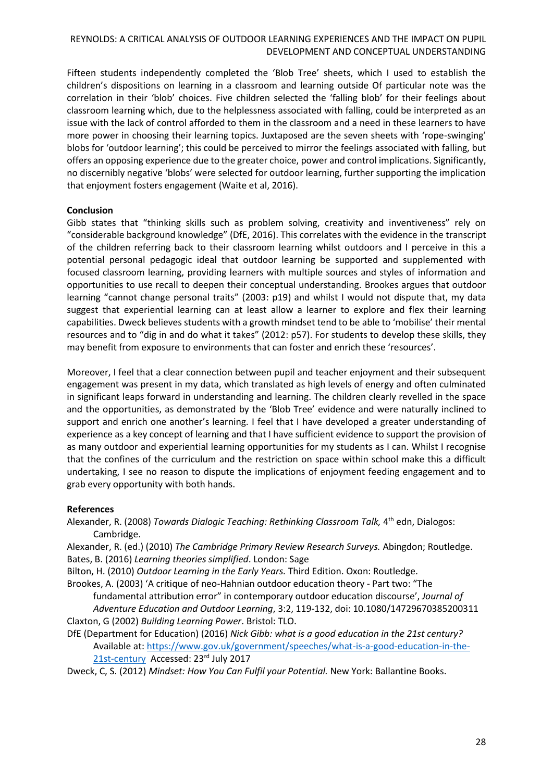Fifteen students independently completed the 'Blob Tree' sheets, which I used to establish the children's dispositions on learning in a classroom and learning outside Of particular note was the correlation in their 'blob' choices. Five children selected the 'falling blob' for their feelings about classroom learning which, due to the helplessness associated with falling, could be interpreted as an issue with the lack of control afforded to them in the classroom and a need in these learners to have more power in choosing their learning topics. Juxtaposed are the seven sheets with 'rope-swinging' blobs for 'outdoor learning'; this could be perceived to mirror the feelings associated with falling, but offers an opposing experience due to the greater choice, power and control implications. Significantly, no discernibly negative 'blobs' were selected for outdoor learning, further supporting the implication that enjoyment fosters engagement (Waite et al, 2016).

# **Conclusion**

Gibb states that "thinking skills such as problem solving, creativity and inventiveness" rely on "considerable background knowledge" (DfE, 2016). This correlates with the evidence in the transcript of the children referring back to their classroom learning whilst outdoors and I perceive in this a potential personal pedagogic ideal that outdoor learning be supported and supplemented with focused classroom learning, providing learners with multiple sources and styles of information and opportunities to use recall to deepen their conceptual understanding. Brookes argues that outdoor learning "cannot change personal traits" (2003: p19) and whilst I would not dispute that, my data suggest that experiential learning can at least allow a learner to explore and flex their learning capabilities. Dweck believes students with a growth mindset tend to be able to 'mobilise' their mental resources and to "dig in and do what it takes" (2012: p57). For students to develop these skills, they may benefit from exposure to environments that can foster and enrich these 'resources'.

Moreover, I feel that a clear connection between pupil and teacher enjoyment and their subsequent engagement was present in my data, which translated as high levels of energy and often culminated in significant leaps forward in understanding and learning. The children clearly revelled in the space and the opportunities, as demonstrated by the 'Blob Tree' evidence and were naturally inclined to support and enrich one another's learning. I feel that I have developed a greater understanding of experience as a key concept of learning and that I have sufficient evidence to support the provision of as many outdoor and experiential learning opportunities for my students as I can. Whilst I recognise that the confines of the curriculum and the restriction on space within school make this a difficult undertaking, I see no reason to dispute the implications of enjoyment feeding engagement and to grab every opportunity with both hands.

## **References**

Alexander, R. (2008) *Towards Dialogic Teaching: Rethinking Classroom Talk,* 4<sup>th</sup> edn, Dialogos: Cambridge.

Alexander, R. (ed.) (2010) *The Cambridge Primary Review Research Surveys.* Abingdon; Routledge. Bates, B. (2016) *Learning theories simplified*. London: Sage

Bilton, H. (2010) *Outdoor Learning in the Early Years.* Third Edition. Oxon: Routledge.

Brookes, A. (2003) 'A critique of neo-Hahnian outdoor education theory - Part two: "The

fundamental attribution error" in contemporary outdoor education discourse', *Journal of Adventure Education and Outdoor Learning*, 3:2, 119-132, doi: 10.1080/14729670385200311 Claxton, G (2002) *Building Learning Power*. Bristol: TLO.

DfE (Department for Education) (2016) *Nick Gibb: what is a good education in the 21st century?* Available at: [https://www.gov.uk/government/speeches/what-is-a-good-education-in-the-](https://www.gov.uk/government/speeches/what-is-a-good-education-in-the-21st-century)

[21st-century](https://www.gov.uk/government/speeches/what-is-a-good-education-in-the-21st-century) Accessed: 23rd July 2017

Dweck, C, S. (2012) *Mindset: How You Can Fulfil your Potential.* New York: Ballantine Books.